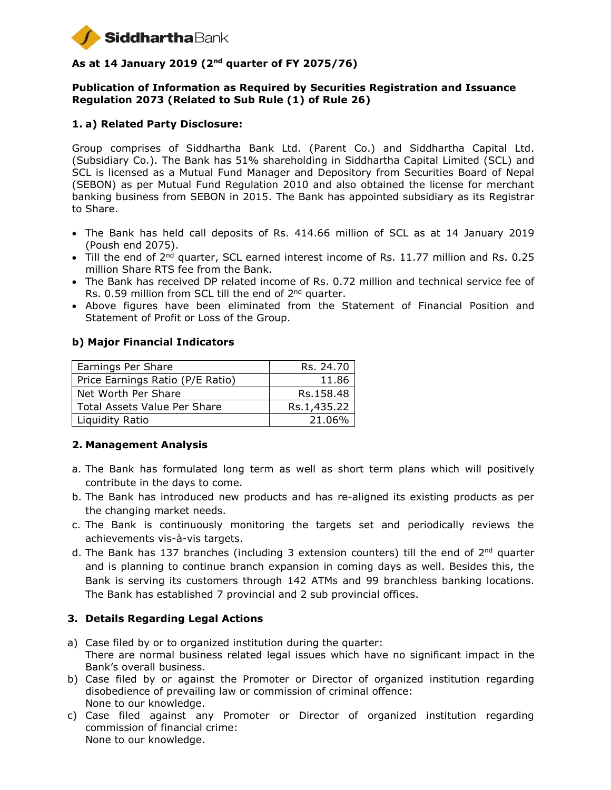

# **As at 14 January 2019 (2nd quarter of FY 2075/76)**

#### **Publication of Information as Required by Securities Registration and Issuance Regulation 2073 (Related to Sub Rule (1) of Rule 26)**

# **1. a) Related Party Disclosure:**

Group comprises of Siddhartha Bank Ltd. (Parent Co.) and Siddhartha Capital Ltd. (Subsidiary Co.). The Bank has 51% shareholding in Siddhartha Capital Limited (SCL) and SCL is licensed as a Mutual Fund Manager and Depository from Securities Board of Nepal (SEBON) as per Mutual Fund Regulation 2010 and also obtained the license for merchant banking business from SEBON in 2015. The Bank has appointed subsidiary as its Registrar to Share.

- The Bank has held call deposits of Rs. 414.66 million of SCL as at 14 January 2019 (Poush end 2075).
- $\bullet$  Till the end of 2<sup>nd</sup> quarter, SCL earned interest income of Rs. 11.77 million and Rs. 0.25 million Share RTS fee from the Bank.
- The Bank has received DP related income of Rs. 0.72 million and technical service fee of Rs. 0.59 million from SCL till the end of 2<sup>nd</sup> quarter.
- Above figures have been eliminated from the Statement of Financial Position and Statement of Profit or Loss of the Group.

#### **b) Major Financial Indicators**

| Earnings Per Share                  | Rs. 24.70   |
|-------------------------------------|-------------|
| Price Earnings Ratio (P/E Ratio)    | 11.86       |
| Net Worth Per Share                 | Rs.158.48   |
| <b>Total Assets Value Per Share</b> | Rs.1,435.22 |
| Liquidity Ratio                     | 21.06%      |

#### **2. Management Analysis**

- a. The Bank has formulated long term as well as short term plans which will positively contribute in the days to come.
- b. The Bank has introduced new products and has re-aligned its existing products as per the changing market needs.
- c. The Bank is continuously monitoring the targets set and periodically reviews the achievements vis-à-vis targets.
- d. The Bank has 137 branches (including 3 extension counters) till the end of 2<sup>nd</sup> quarter and is planning to continue branch expansion in coming days as well. Besides this, the Bank is serving its customers through 142 ATMs and 99 branchless banking locations. The Bank has established 7 provincial and 2 sub provincial offices.

#### **3. Details Regarding Legal Actions**

- a) Case filed by or to organized institution during the quarter: There are normal business related legal issues which have no significant impact in the Bank's overall business.
- b) Case filed by or against the Promoter or Director of organized institution regarding disobedience of prevailing law or commission of criminal offence: None to our knowledge.
- c) Case filed against any Promoter or Director of organized institution regarding commission of financial crime: None to our knowledge.